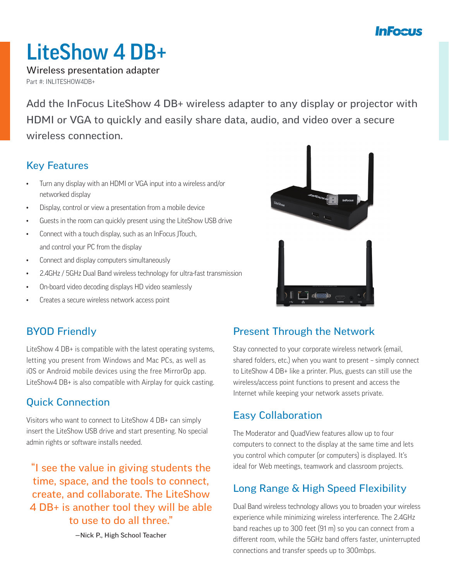#### **In Foel K**

# LiteShow 4 DB+

Wireless presentation adapter Part #: INLITESHOW4DB+

Add the InFocus LiteShow 4 DB+ wireless adapter to any display or projector with HDMI or VGA to quickly and easily share data, audio, and video over a secure wireless connection.

#### Key Features

- Turn any display with an HDMI or VGA input into a wireless and/or networked display
- Display, control or view a presentation from a mobile device
- Guests in the room can quickly present using the LiteShow USB drive
- Connect with a touch display, such as an InFocus JTouch, and control your PC from the display
- Connect and display computers simultaneously
- 2.4GHz / 5GHz Dual Band wireless technology for ultra-fast transmission
- On-board video decoding displays HD video seamlessly
- Creates a secure wireless network access point



#### BYOD Friendly

LiteShow 4 DB+ is compatible with the latest operating systems, letting you present from Windows and Mac PCs, as well as iOS or Android mobile devices using the free MirrorOp app. LiteShow4 DB+ is also compatible with Airplay for quick casting.

## Quick Connection

Visitors who want to connect to LiteShow 4 DB+ can simply insert the LiteShow USB drive and start presenting. No special admin rights or software installs needed.

"I see the value in giving students the time, space, and the tools to connect, create, and collaborate. The LiteShow 4 DB+ is another tool they will be able to use to do all three."

—Nick P., High School Teacher

## Present Through the Network

Stay connected to your corporate wireless network (email, shared folders, etc.) when you want to present – simply connect to LiteShow 4 DB+ like a printer. Plus, guests can still use the wireless/access point functions to present and access the Internet while keeping your network assets private.

#### Easy Collaboration

The Moderator and QuadView features allow up to four computers to connect to the display at the same time and lets you control which computer (or computers) is displayed. It's ideal for Web meetings, teamwork and classroom projects.

## Long Range & High Speed Flexibility

Dual Band wireless technology allows you to broaden your wireless experience while minimizing wireless interference. The 2.4GHz band reaches up to 300 feet (91 m) so you can connect from a different room, while the 5GHz band offers faster, uninterrupted connections and transfer speeds up to 300mbps.